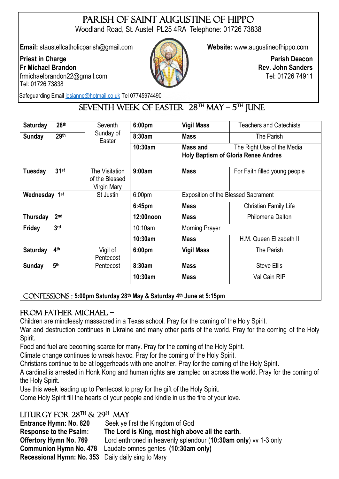# PARISH OF SAINT AUGUSTINE OF HIPPO

Woodland Road, St. Austell PL25 4RA Telephone: 01726 73838

**Email:** staustellcatholicparish@gmail.com **Website:** [www.augustineofhippo.com](about:blank)

#### **Priest in Charge Fr Michael Brandon**  frmichaelbrandon22@gmail.com Tel: 01726 73838



**Parish Deacon Rev. John Sanders** Tel: 01726 74911

Safeguarding Email [josianne@hotmail.co.uk](mailto:josianne@hotmail.co.uk) Tel 07745974490

## $SEVENTH WEEK OF EASTER 28<sup>TH</sup> MAY - 5<sup>TH</sup> IUNE$

| 28 <sup>th</sup><br>Saturday       | Seventh                                         | 6:00 <sub>pm</sub> | <b>Vigil Mass</b>                          | <b>Teachers and Catechists</b>                                           |
|------------------------------------|-------------------------------------------------|--------------------|--------------------------------------------|--------------------------------------------------------------------------|
| 29th<br><b>Sunday</b>              | Sunday of<br>Easter                             | 8:30am             | <b>Mass</b>                                | The Parish                                                               |
|                                    |                                                 | 10:30am            | Mass and                                   | The Right Use of the Media<br><b>Holy Baptism of Gloria Renee Andres</b> |
| $31$ st<br><b>Tuesday</b>          | The Visitation<br>of the Blessed<br>Virgin Mary | 9:00am             | <b>Mass</b>                                | For Faith filled young people                                            |
| Wednesday 1st                      | St Justin                                       | 6:00 <sub>pm</sub> | <b>Exposition of the Blessed Sacrament</b> |                                                                          |
|                                    |                                                 | 6:45pm             | <b>Mass</b>                                | <b>Christian Family Life</b>                                             |
| 2 <sub>nd</sub><br>Thursday        |                                                 | 12:00noon          | <b>Mass</b>                                | Philomena Dalton                                                         |
| 3 <sub>rd</sub><br>Friday          |                                                 | 10:10am            | <b>Morning Prayer</b>                      |                                                                          |
|                                    |                                                 | 10:30am            | <b>Mass</b>                                | H.M. Queen Elizabeth II                                                  |
| 4 <sup>th</sup><br><b>Saturday</b> | Vigil of<br>Pentecost                           | 6:00 <sub>pm</sub> | <b>Vigil Mass</b>                          | The Parish                                                               |
| 5 <sup>th</sup><br><b>Sunday</b>   | Pentecost                                       | 8:30am             | <b>Mass</b>                                | <b>Steve Ellis</b>                                                       |
|                                    |                                                 | 10:30am            | <b>Mass</b>                                | Val Cain RIP                                                             |
|                                    |                                                 |                    |                                            |                                                                          |

Confessions : **5:00pm Saturday 28th May & Saturday 4th June at 5:15pm** ٦

#### From Father Michael –

Children are mindlessly massacred in a Texas school. Pray for the coming of the Holy Spirit.

War and destruction continues in Ukraine and many other parts of the world. Pray for the coming of the Holy Spirit.

Food and fuel are becoming scarce for many. Pray for the coming of the Holy Spirit.

Climate change continues to wreak havoc. Pray for the coming of the Holy Spirit.

Christians continue to be at loggerheads with one another. Pray for the coming of the Holy Spirit.

A cardinal is arrested in Honk Kong and human rights are trampled on across the world. Pray for the coming of the Holy Spirit.

Use this week leading up to Pentecost to pray for the gift of the Holy Spirit.

Come Holy Spirit fill the hearts of your people and kindle in us the fire of your love.

### LITURGY FOR  $28^{\text{TH}}$  &  $29^{\text{H}}$  MAY

| <b>Entrance Hymn: No. 820</b>                             | Seek ye first the Kingdom of God                                |
|-----------------------------------------------------------|-----------------------------------------------------------------|
| <b>Response to the Psalm:</b>                             | The Lord is King, most high above all the earth.                |
| <b>Offertory Hymn No. 769</b>                             | Lord enthroned in heavenly splendour (10:30am only) vv 1-3 only |
| <b>Communion Hymn No. 478</b>                             | Laudate omnes gentes (10:30am only)                             |
| <b>Recessional Hymn: No. 353</b> Daily daily sing to Mary |                                                                 |